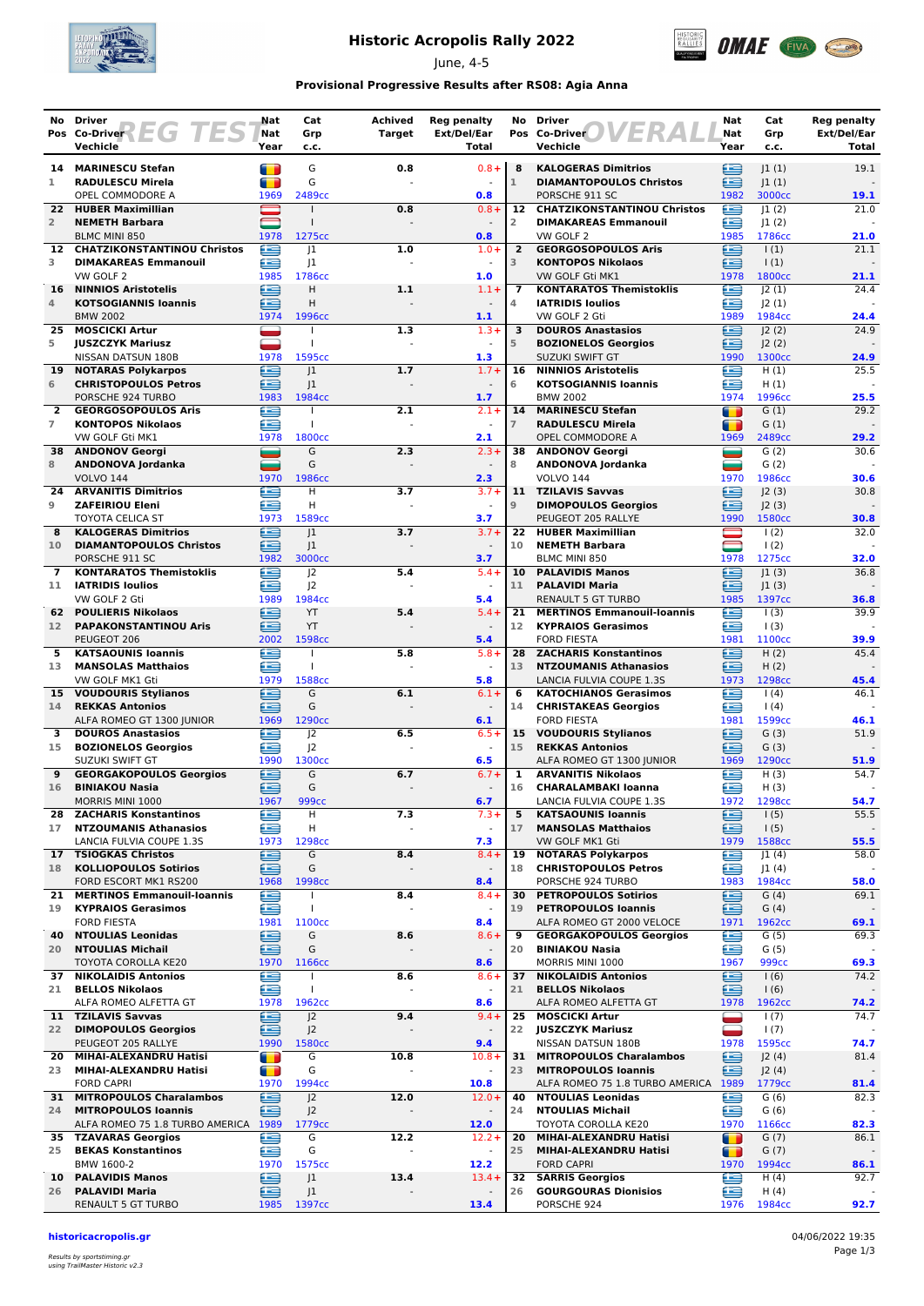

# **Historic Acropolis Rally 2022**

June, 4-5



## **Provisional Progressive Results after RS08: Agia Anna**

|                 | No Driver                                                | Nat       | Cat                                  | <b>Achived</b> | <b>Reg penalty</b>               | No              | <b>Driver</b>                                                      | Nat            | Cat                       | <b>Reg penalty</b> |
|-----------------|----------------------------------------------------------|-----------|--------------------------------------|----------------|----------------------------------|-----------------|--------------------------------------------------------------------|----------------|---------------------------|--------------------|
|                 | EG 1<br>Pos Co-Driver                                    | Nat       | Grp                                  | <b>Target</b>  | Ext/Del/Ear                      |                 | Pos Co-Driver                                                      | Nat            | Grp                       | Ext/Del/Ear        |
|                 | Vechicle                                                 | Year      | c.c.                                 |                | Total                            |                 | Vechicle                                                           | Year           | c.c.                      | Total              |
| 14              | <b>MARINESCU Stefan</b>                                  | n         | G                                    | 0.8            | $0.8 +$                          | 8               | <b>KALOGERAS Dimitrios</b>                                         | ≘              | 1(1)                      | 19.1               |
| 1               | <b>RADULESCU Mirela</b>                                  | T         | G                                    |                |                                  | $\mathbf{1}$    | <b>DIAMANTOPOULOS Christos</b>                                     | œ              | 1(1)                      |                    |
|                 | OPEL COMMODORE A                                         | 1969      | 2489 <sub>cc</sub>                   |                | 0.8                              |                 | PORSCHE 911 SC                                                     | 1982           | 3000cc                    | 19.1               |
| 22.             | <b>HUBER Maximillian</b>                                 |           | $\mathbf{I}$                         | 0.8            | $0.8 +$                          |                 | 12 CHATZIKONSTANTINOU Christos                                     | £              | 1(2)                      | 21.0               |
| $\overline{2}$  | <b>NEMETH Barbara</b><br><b>BLMC MINI 850</b>            | 1978      | 1275cc                               |                | 0.8                              | 2               | <b>DIMAKAREAS Emmanouil</b><br>VW GOLF 2                           | £<br>1985      | 1(2) <br>1786cc           | 21.0               |
| 12              | <b>CHATZIKONSTANTINOU Christos</b>                       | æ         | 1                                    | 1.0            | $1.0 +$                          | $\overline{2}$  | <b>GEORGOSOPOULOS Aris</b>                                         | œ              | $\vert$ (1)               | 21.1               |
| 3               | <b>DIMAKAREAS Emmanouil</b>                              | £         | 1                                    |                | $\blacksquare$                   | 3               | <b>KONTOPOS Nikolaos</b>                                           | £              | 1(1)                      |                    |
|                 | VW GOLF 2                                                | 1985      | 1786cc                               |                | 1.0                              |                 | VW GOLF Gti MK1                                                    | 1978           | 1800 <sub>cc</sub>        | 21.1               |
| 16              | <b>NINNIOS Aristotelis</b>                               | ≘         | H                                    | 1.1            | $1.1 +$                          | $\overline{7}$  | <b>KONTARATOS Themistoklis</b>                                     | œ              | 2(1)                      | 24.4               |
| 4               | <b>KOTSOGIANNIS Ioannis</b>                              | Œ         | H                                    |                |                                  | 4               | <b>IATRIDIS Ioulios</b>                                            | £              | J2(1)                     |                    |
| 25              | <b>BMW 2002</b><br><b>MOSCICKI Artur</b>                 | 1974      | 1996cc                               | 1.3            | $1.1$<br>$1.3 +$                 | 3               | VW GOLF 2 Gti<br><b>DOUROS Anastasios</b>                          | 1989<br>Ħ      | 1984cc<br> 2(2)           | 24.4<br>24.9       |
| 5               | <b>JUSZCZYK Mariusz</b>                                  | ۷         | T                                    |                | $\sim$                           | 5               | <b>BOZIONELOS Georgios</b>                                         | £              | J2(2)                     |                    |
|                 | NISSAN DATSUN 180B                                       | 1978      | 1595cc                               |                | 1.3                              |                 | <b>SUZUKI SWIFT GT</b>                                             | 1990           | 1300 <sub>cc</sub>        | 24.9               |
| 19              | <b>NOTARAS Polykarpos</b>                                | œ         | 1                                    | 1.7            | $1.7 +$                          | 16              | <b>NINNIOS Aristotelis</b>                                         | Æ              | H(1)                      | 25.5               |
| 6               | <b>CHRISTOPOULOS Petros</b>                              | ≘         | 1                                    |                | $\blacksquare$                   | 6               | <b>KOTSOGIANNIS loannis</b>                                        | £              | H(1)                      |                    |
|                 | PORSCHE 924 TURBO                                        | 1983      | 1984cc                               |                | 1.7                              |                 | <b>BMW 2002</b>                                                    | 1974           | 1996cc                    | 25.5               |
| $\mathbf{2}$    | <b>GEORGOSOPOULOS Aris</b>                               | ≘         |                                      | 2.1            | $2.1 +$                          | 14              | <b>MARINESCU Stefan</b>                                            | т              | G(1)                      | 29.2               |
| $\overline{7}$  | <b>KONTOPOS Nikolaos</b><br>VW GOLF Gti MK1              | Œ<br>1978 | T<br>1800cc                          |                | 2.1                              | $\overline{7}$  | <b>RADULESCU Mirela</b><br>OPEL COMMODORE A                        | m<br>1969      | G(1)<br>2489cc            | 29.2               |
| 38              | <b>ANDONOV Georgi</b>                                    | ست        | G                                    | 2.3            | $2.3 +$                          | 38              | <b>ANDONOV Georgi</b>                                              | =              | G(2)                      | 30.6               |
| 8               | ANDONOVA Jordanka                                        | -         | G                                    |                |                                  | 8               | ANDONOVA Jordanka                                                  | ═              | G(2)                      |                    |
|                 | <b>VOLVO 144</b>                                         | 1970      | 1986cc                               |                | 2.3                              |                 | <b>VOLVO 144</b>                                                   | 1970           | 1986cc                    | 30.6               |
| 24              | <b>ARVANITIS Dimitrios</b>                               | œ         | H                                    | 3.7            | $3.7 +$                          | 11              | <b>TZILAVIS Savvas</b>                                             | £              | J2(3)                     | 30.8               |
| 9               | <b>ZAFEIRIOU Eleni</b>                                   | ≘         | H                                    |                | $\blacksquare$                   | $\overline{9}$  | <b>DIMOPOULOS Georgios</b>                                         | œ              | J2(3)                     |                    |
|                 | TOYOTA CELICA ST                                         | 1973      | 1589cc                               |                | 3.7                              |                 | PEUGEOT 205 RALLYE                                                 | 1990           | 1580cc                    | 30.8               |
| 8               | <b>KALOGERAS Dimitrios</b>                               | £         | 1                                    | 3.7            | $3.7 +$                          | 22<br>10        | <b>HUBER Maximillian</b>                                           |                | 1(2)                      | 32.0               |
| 10              | <b>DIAMANTOPOULOS Christos</b><br>PORSCHE 911 SC         | ∈<br>1982 | J <sub>1</sub><br>3000cc             |                | 3.7                              |                 | <b>NEMETH Barbara</b><br>BLMC MINI 850                             | 1978           | 1(2)<br>1275cc            | 32.0               |
| $\overline{7}$  | <b>KONTARATOS Themistoklis</b>                           | £         | 2                                    | 5.4            | $5.4 +$                          | 10              | <b>PALAVIDIS Manos</b>                                             | £              | 1(3)                      | 36.8               |
| 11              | <b>IATRIDIS Ioulios</b>                                  | œ         | 2                                    |                | $\sim$                           | 11              | <b>PALAVIDI Maria</b>                                              | ≘              | 1(3)                      |                    |
|                 | VW GOLF 2 Gti                                            | 1989      | 1984cc                               |                | 5.4                              |                 | <b>RENAULT 5 GT TURBO</b>                                          | 1985           | 1397cc                    | 36.8               |
| 62              | <b>POULIERIS Nikolaos</b>                                | ∈         | YT                                   | 5.4            | $5.4 +$                          | 21              | <b>MERTINOS Emmanouil-Ioannis</b>                                  | £              | $\vert$ (3)               | 39.9               |
| 12 <sup>7</sup> | <b>PAPAKONSTANTINOU Aris</b>                             | æ         | YT                                   |                |                                  | 12              | <b>KYPRAIOS Gerasimos</b>                                          | œ              | $\vert$ (3)               |                    |
| 5               | PEUGEOT 206<br><b>KATSAOUNIS Ioannis</b>                 | 2002<br>œ | 1598cc                               | 5.8            | 5.4<br>$5.8+$                    | 28              | <b>FORD FIESTA</b><br><b>ZACHARIS Konstantinos</b>                 | 1981<br>£      | 1100 <sub>cc</sub>        | 39.9<br>45.4       |
| 13              | <b>MANSOLAS Matthaios</b>                                | £         | T                                    |                |                                  | 13              | <b>NTZOUMANIS Athanasios</b>                                       | £              | H(2)<br>H(2)              |                    |
|                 | VW GOLF MK1 Gti                                          | 1979      | 1588cc                               |                | 5.8                              |                 | LANCIA FULVIA COUPE 1.3S                                           | 1973           | 1298cc                    | 45.4               |
| 15              | <b>VOUDOURIS Stylianos</b>                               | £         | G                                    | 6.1            | $6.1 +$                          | 6               | <b>KATOCHIANOS Gerasimos</b>                                       | £              | 1(4)                      | 46.1               |
| 14              | <b>REKKAS Antonios</b>                                   | Œ         | G                                    |                | $\sim$                           | 14              | <b>CHRISTAKEAS Georgios</b>                                        | £              | $\vert$ (4)               |                    |
|                 | ALFA ROMEO GT 1300 JUNIOR                                | 1969      | 1290 <sub>cc</sub>                   |                | 6.1                              |                 | <b>FORD FIESTA</b>                                                 | 1981           | 1599cc                    | 46.1               |
| 3               | <b>DOUROS Anastasios</b>                                 | £         | J <sup>2</sup>                       | 6.5            | $6.5+$                           | 15              | <b>VOUDOURIS Stylianos</b>                                         | e              | G(3)                      | 51.9               |
| 15              | <b>BOZIONELOS Georgios</b><br>SUZUKI SWIFT GT            | æ<br>1990 | J <sub>2</sub><br>1300 <sub>cc</sub> |                | $\blacksquare$<br>6.5            | 15 <sub>1</sub> | <b>REKKAS Antonios</b><br>ALFA ROMEO GT 1300 JUNIOR                | œ<br>1969      | G(3)<br>1290cc            | 51.9               |
| 9               | <b>GEORGAKOPOULOS Georgios</b>                           | €         | G                                    | 6.7            | $6.7 +$                          | 1               | <b>ARVANITIS Nikolaos</b>                                          | œ              | H(3)                      | 54.7               |
| 16              | <b>BINIAKOU Nasia</b>                                    | ≘         | G                                    |                |                                  | 16              | <b>CHARALAMBAKI Ioanna</b>                                         | œ              | H(3)                      |                    |
|                 | MORRIS MINI 1000                                         | 1967      | 999 <sub>cc</sub>                    |                | 6.7                              |                 | LANCIA FULVIA COUPE 1.3S                                           | 1972           | 1298cc                    | 54.7               |
| 28              | <b>ZACHARIS Konstantinos</b>                             | e         | н                                    | 7.3            | $7.3+$                           | 5               | <b>KATSAOUNIS Ioannis</b>                                          | ≘              | 1(5)                      | 55.5               |
| 17              | <b>NTZOUMANIS Athanasios</b>                             | £         | н                                    |                | $\omega$                         | 17              | <b>MANSOLAS Matthaios</b>                                          | ≘              | 1(5)                      |                    |
|                 | LANCIA FULVIA COUPE 1.3S                                 | 1973      | 1298cc                               |                | 7.3                              |                 | VW GOLF MK1 Gti                                                    | 1979           | 1588cc                    | 55.5               |
| 17<br>18        | <b>TSIOGKAS Christos</b><br><b>KOLLIOPOULOS Sotirios</b> | €<br>∈    | G<br>G                               | 8.4            | $8.4 +$<br>$\blacksquare$        | 19<br>18        | <b>NOTARAS Polykarpos</b><br><b>CHRISTOPOULOS Petros</b>           | œ<br>≘         | J1(4)<br>J1(4)            | 58.0               |
|                 | FORD ESCORT MK1 RS200                                    | 1968      | 1998 <sub>cc</sub>                   |                | 8.4                              |                 | PORSCHE 924 TURBO                                                  | 1983           | 1984cc                    | 58.0               |
| 21.             | <b>MERTINOS Emmanouil-Ioannis</b>                        | ⊜         |                                      | 8.4            | $8.4 +$                          | 30              | <b>PETROPOULOS Sotirios</b>                                        | e              | G(4)                      | 69.1               |
| 19              | <b>KYPRAIOS Gerasimos</b>                                | e         | $\mathbf{I}$                         |                | $\overline{\phantom{a}}$         | 19              | <b>PETROPOULOS Ioannis</b>                                         | ≘              | G(4)                      |                    |
|                 | <b>FORD FIESTA</b>                                       | 1981      | 1100 <sub>cc</sub>                   |                | 8.4                              |                 | ALFA ROMEO GT 2000 VELOCE                                          | 1971           | 1962cc                    | 69.1               |
| 40              | <b>NTOULIAS Leonidas</b>                                 | £         | G                                    | 8.6            | $8.6 +$                          | 9               | <b>GEORGAKOPOULOS Georgios</b>                                     | £              | G(5)                      | 69.3               |
|                 | 20 NTOULIAS Michail                                      | ≘         | G                                    |                | $\overline{\phantom{a}}$         | 20              | <b>BINIAKOU Nasia</b>                                              | ≘              | G(5)                      |                    |
| 37              | TOYOTA COROLLA KE20<br><b>NIKOLAIDIS Antonios</b>        | 1970<br>£ | 1166cc<br>$\perp$                    | 8.6            | 8.6<br>$8.6 +$                   | 37              | MORRIS MINI 1000<br><b>NIKOLAIDIS Antonios</b>                     | 1967<br>≘      | 999 <sub>cc</sub><br>1(6) | 69.3<br>74.2       |
| 21              | <b>BELLOS Nikolaos</b>                                   | €         | $\mathbf{I}$                         |                |                                  | 21              | <b>BELLOS Nikolaos</b>                                             | ఆ              | 1(6)                      |                    |
|                 | ALFA ROMEO ALFETTA GT                                    | 1978      | 1962 <sub>cc</sub>                   |                | 8.6                              |                 | ALFA ROMEO ALFETTA GT                                              | 1978           | 1962cc                    | 74.2               |
|                 | 11 TZILAVIS Savvas                                       | e         | J <sub>2</sub>                       | 9.4            | $9.4 +$                          | 25              | <b>MOSCICKI Artur</b>                                              | ▄              | 1(7)                      | 74.7               |
| 22              | <b>DIMOPOULOS Georgios</b>                               | £         | J <sub>2</sub>                       |                |                                  | 22              | <b>JUSZCZYK Mariusz</b>                                            | —              | 1(7)                      |                    |
|                 | PEUGEOT 205 RALLYE                                       | 1990      | 1580 <sub>cc</sub>                   |                | 9.4                              |                 | NISSAN DATSUN 180B                                                 | 1978           | 1595cc                    | 74.7               |
|                 | 20 MIHAI-ALEXANDRU Hatisi                                | т         | G                                    | 10.8           | $10.8 +$                         |                 | 31 MITROPOULOS Charalambos                                         | €<br>£         | J2(4)                     | 81.4               |
| 23              | MIHAI-ALEXANDRU Hatisi<br><b>FORD CAPRI</b>              | Œ<br>1970 | G<br>1994cc                          |                | $\overline{\phantom{a}}$<br>10.8 | 23              | <b>MITROPOULOS Ioannis</b><br>ALFA ROMEO 75 1.8 TURBO AMERICA 1989 |                | J2(4)<br>1779cc           | 81.4               |
|                 | 31 MITROPOULOS Charalambos                               | ≘         | $J^2$                                | 12.0           | $12.0+$                          | 40              | <b>NTOULIAS Leonidas</b>                                           | £              | G(6)                      | 82.3               |
| 24              | <b>MITROPOULOS Ioannis</b>                               | ≘         | J <sup>2</sup>                       |                |                                  | 24              | <b>NTOULIAS Michail</b>                                            | £              | G(6)                      |                    |
|                 | ALFA ROMEO 75 1.8 TURBO AMERICA 1989                     |           | 1779 <sub>cc</sub>                   |                | 12.0                             |                 | TOYOTA COROLLA KE20                                                | 1970           | 1166cc                    | 82.3               |
|                 | 35 TZAVARAS Georgios                                     | e         | G                                    | 12.2           | $12.2 +$                         | 20              | MIHAI-ALEXANDRU Hatisi                                             | $\blacksquare$ | G(7)                      | 86.1               |
| 25              | <b>BEKAS Konstantinos</b>                                | ≘         | G                                    |                | $\blacksquare$                   | 25              | MIHAI-ALEXANDRU Hatisi                                             | n              | G(7)                      |                    |
| 10              | BMW 1600-2<br><b>PALAVIDIS Manos</b>                     | 1970<br>€ | 1575cc<br>J1                         | 13.4           | 12.2<br>$13.4 +$                 | 32              | <b>FORD CAPRI</b><br><b>SARRIS Georgios</b>                        | 1970<br>€      | 1994cc<br>H(4)            | 86.1<br>92.7       |
| 26              | <b>PALAVIDI Maria</b>                                    | £         | J1                                   |                |                                  | 26              | <b>GOURGOURAS Dionisios</b>                                        | ≘              | H(4)                      |                    |
|                 | <b>RENAULT 5 GT TURBO</b>                                | 1985      | 1397cc                               |                | 13.4                             |                 | PORSCHE 924                                                        | 1976           | 1984cc                    | 92.7               |

**historicacropolis.gr** 04/06/2022 19:35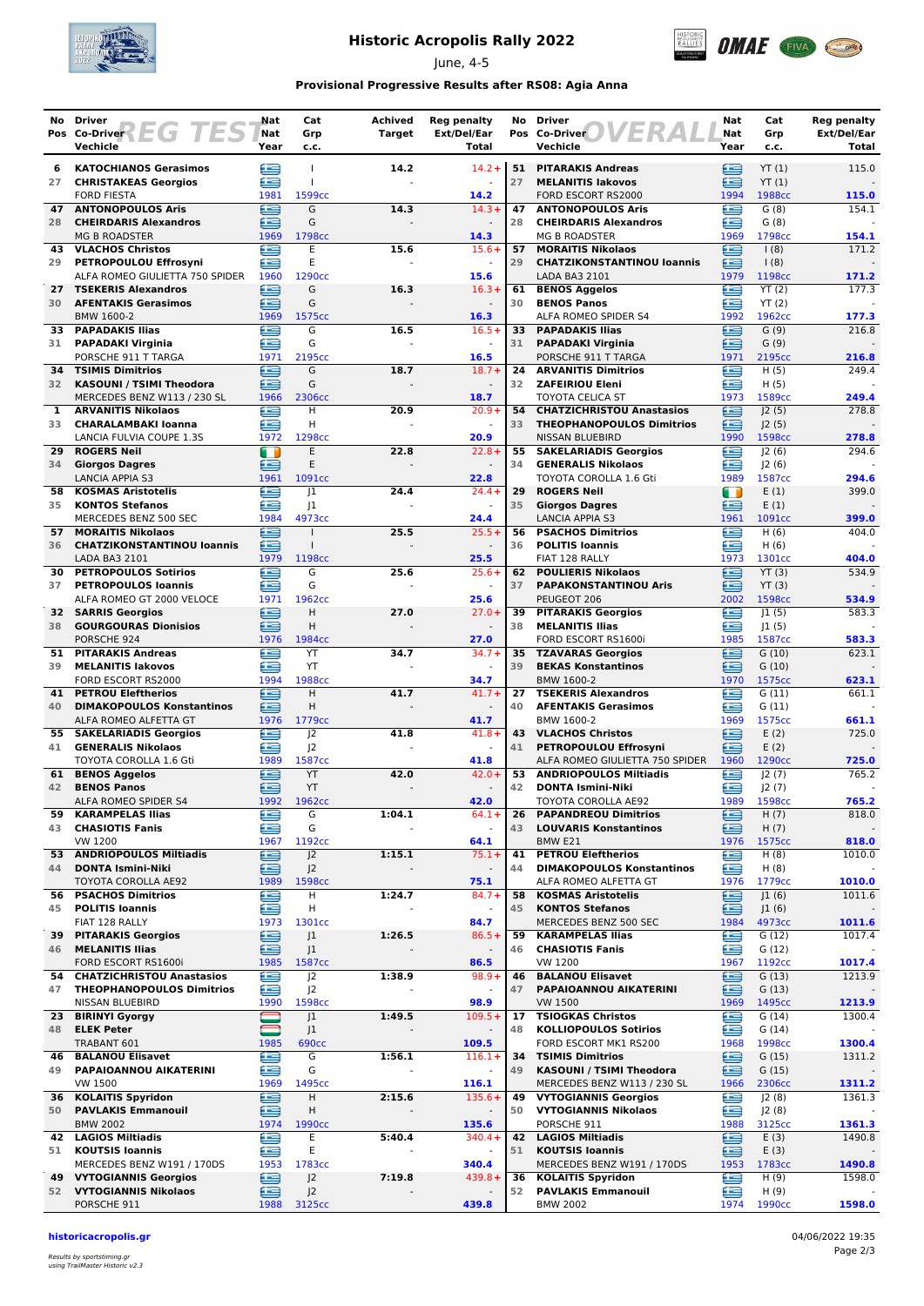

# **Historic Acropolis Rally 2022**

June, 4-5



## **Provisional Progressive Results after RS08: Agia Anna**

| No.      | <b>Driver</b><br>Pos Co-Driver $E$ $\overline{G}$ $\overline{I}$ | Nat<br>Nat | Cat<br>Grp                           | <b>Achived</b><br><b>Target</b> | <b>Reg penalty</b><br>Ext/Del/Ear | No       | <b>Driver</b><br>ER<br>Pos Co-Driver                       | Nat<br>Nat | Cat<br>Grp            | <b>Reg penalty</b><br>Ext/Del/Ear |
|----------|------------------------------------------------------------------|------------|--------------------------------------|---------------------------------|-----------------------------------|----------|------------------------------------------------------------|------------|-----------------------|-----------------------------------|
|          | Vechicle                                                         | Year       | c.c.                                 |                                 | <b>Total</b>                      |          | Vechicle                                                   | Year       | c.c.                  | Total                             |
| 6        | <b>KATOCHIANOS Gerasimos</b>                                     | ≘          | $\mathbf{I}$                         | 14.2                            | $14.2 +$                          | 51       | <b>PITARAKIS Andreas</b>                                   | £          | YT(1)                 | 115.0                             |
| 27       | <b>CHRISTAKEAS Georgios</b>                                      | œ          | $\mathbf{I}$                         |                                 |                                   | 27       | <b>MELANITIS lakovos</b>                                   | £          | YT(1)                 |                                   |
|          | <b>FORD FIESTA</b>                                               | 1981<br>£  | 1599cc<br>G                          |                                 | 14.2<br>$14.3+$                   |          | FORD ESCORT RS2000                                         | 1994<br>£  | 1988cc                | 115.0<br>154.1                    |
| 47<br>28 | <b>ANTONOPOULOS Aris</b><br><b>CHEIRDARIS Alexandros</b>         | œ          | G                                    | 14.3                            |                                   | 47<br>28 | <b>ANTONOPOULOS Aris</b><br><b>CHEIRDARIS Alexandros</b>   | œ          | G(8)<br>G(8)          |                                   |
|          | <b>MG B ROADSTER</b>                                             | 1969       | 1798cc                               |                                 | 14.3                              |          | <b>MG B ROADSTER</b>                                       | 1969       | 1798cc                | 154.1                             |
| 43       | <b>VLACHOS Christos</b>                                          | œ          | E                                    | 15.6                            | $15.6+$                           | 57       | <b>MORAITIS Nikolaos</b>                                   | 鱼          | 1(8)                  | 171.2                             |
| 29       | PETROPOULOU Effrosyni<br>ALFA ROMEO GIULIETTA 750 SPIDER         | æ<br>1960  | E<br>1290 <sub>cc</sub>              |                                 | $\omega$<br>15.6                  | 29       | <b>CHATZIKONSTANTINOU loannis</b><br>LADA BA3 2101         | œ<br>1979  | $\vert$ (8)<br>1198cc | 171.2                             |
| 27       | <b>TSEKERIS Alexandros</b>                                       | €          | G                                    | 16.3                            | $16.3+$                           | 61       | <b>BENOS Aggelos</b>                                       | €          | $\overline{YT}$ (2)   | 177.3                             |
| 30       | <b>AFENTAKIS Gerasimos</b>                                       | œ          | G                                    |                                 |                                   | 30       | <b>BENOS Panos</b>                                         | £          | YT(2)                 |                                   |
|          | BMW 1600-2                                                       | 1969       | 1575cc                               |                                 | 16.3<br>$16.5+$                   |          | ALFA ROMEO SPIDER S4                                       | 1992<br>œ  | 1962cc                | 177.3<br>216.8                    |
| 33<br>31 | <b>PAPADAKIS Ilias</b><br><b>PAPADAKI Virginia</b>               | Œ<br>œ     | G<br>G                               | 16.5                            |                                   | 33<br>31 | <b>PAPADAKIS Ilias</b><br><b>PAPADAKI Virginia</b>         | £          | G(9)<br>G(9)          |                                   |
|          | PORSCHE 911 T TARGA                                              | 1971       | 2195cc                               |                                 | 16.5                              |          | PORSCHE 911 T TARGA                                        | 1971       | 2195cc                | 216.8                             |
|          | <b>34 TSIMIS Dimitrios</b>                                       | ⊟          | G                                    | 18.7                            | $18.7 +$                          | 24       | <b>ARVANITIS Dimitrios</b>                                 | £          | H(5)                  | 249.4                             |
| 32       | <b>KASOUNI / TSIMI Theodora</b><br>MERCEDES BENZ W113 / 230 SL   | £<br>1966  | G<br>2306cc                          |                                 | $\blacksquare$<br>18.7            | 32       | <b>ZAFEIRIOU Eleni</b><br><b>TOYOTA CELICA ST</b>          | £<br>1973  | H(5)<br>1589cc        | 249.4                             |
| 1        | <b>ARVANITIS Nikolaos</b>                                        | ∈          | H                                    | 20.9                            | $20.9+$                           | 54       | <b>CHATZICHRISTOU Anastasios</b>                           | €          | J2(5)                 | 278.8                             |
| 33       | <b>CHARALAMBAKI Ioanna</b>                                       | æ          | H                                    |                                 |                                   | 33       | <b>THEOPHANOPOULOS Dimitrios</b>                           | œ          | J2(5)                 |                                   |
|          | LANCIA FULVIA COUPE 1.3S                                         | 1972       | 1298cc                               |                                 | 20.9                              |          | <b>NISSAN BLUEBIRD</b>                                     | 1990       | 1598cc                | 278.8                             |
| 29<br>34 | <b>ROGERS Neil</b><br><b>Giorgos Dagres</b>                      | Œ<br>≘     | E<br>E                               | 22.8                            | $22.8 +$                          | 55<br>34 | <b>SAKELARIADIS Georgios</b><br><b>GENERALIS Nikolaos</b>  | œ<br>£     | 2(6) <br>J2(6)        | 294.6                             |
|          | <b>LANCIA APPIA S3</b>                                           | 1961       | 1091cc                               |                                 | 22.8                              |          | TOYOTA COROLLA 1.6 Gti                                     | 1989       | 1587cc                | 294.6                             |
| 58       | <b>KOSMAS Aristotelis</b>                                        | œ          | 1                                    | 24.4                            | $24.4 +$                          | 29       | <b>ROGERS Neil</b>                                         | m          | E(1)                  | 399.0                             |
| 35       | <b>KONTOS Stefanos</b>                                           | Œ          | 1                                    |                                 | $\omega$                          | 35       | <b>Giorgos Dagres</b>                                      | ≘          | E(1)                  |                                   |
| 57       | MERCEDES BENZ 500 SEC<br><b>MORAITIS Nikolaos</b>                | 1984<br>G  | 4973cc<br>$\mathbf{I}$               | 25.5                            | 24.4<br>$25.5+$                   | 56       | <b>LANCIA APPIA S3</b><br><b>PSACHOS Dimitrios</b>         | 1961<br>œ  | 1091cc<br>H(6)        | 399.0<br>404.0                    |
| 36       | <b>CHATZIKONSTANTINOU loannis</b>                                | £          | $\mathbf{I}$                         |                                 |                                   | 36       | <b>POLITIS Ioannis</b>                                     | £          | H(6)                  |                                   |
|          | LADA BA3 2101                                                    | 1979       | 1198cc                               |                                 | 25.5                              |          | FIAT 128 RALLY                                             | 1973       | 1301cc                | 404.0                             |
| 30       | <b>PETROPOULOS Sotirios</b>                                      | £          | G                                    | 25.6                            | $25.6+$                           |          | 62 POULIERIS Nikolaos                                      | £          | YT(3)                 | 534.9                             |
| 37       | <b>PETROPOULOS Ioannis</b><br>ALFA ROMEO GT 2000 VELOCE          | ≘<br>1971  | G<br>1962cc                          |                                 | 25.6                              | 37       | <b>PAPAKONSTANTINOU Aris</b><br>PEUGEOT 206                | ≘<br>2002  | YT(3)<br>1598cc       | 534.9                             |
| 32       | <b>SARRIS Georgios</b>                                           | œ          | Н                                    | 27.0                            | $27.0+$                           | 39       | <b>PITARAKIS Georgios</b>                                  | £          | 1(5)                  | 583.3                             |
|          | 38 GOURGOURAS Dionisios                                          | ≘          | H                                    |                                 | $\blacksquare$                    | 38       | <b>MELANITIS Ilias</b>                                     | £          | 1(5)                  |                                   |
|          | PORSCHE 924                                                      | 1976       | 1984cc                               |                                 | 27.0                              |          | FORD ESCORT RS1600i                                        | 1985       | 1587cc                | 583.3                             |
| 51<br>39 | <b>PITARAKIS Andreas</b><br><b>MELANITIS lakovos</b>             | e<br>æ     | YT<br>YT                             | 34.7                            | $34.7 +$                          | 35<br>39 | <b>TZAVARAS Georgios</b><br><b>BEKAS Konstantinos</b>      | e<br>œ     | G(10)<br>G(10)        | 623.1                             |
|          | FORD ESCORT RS2000                                               | 1994       | 1988cc                               |                                 | 34.7                              |          | BMW 1600-2                                                 | 1970       | 1575cc                | 623.1                             |
|          | <b>41 PETROU Eleftherios</b>                                     | ≘          | Н                                    | 41.7                            | $41.7 +$                          | 27       | <b>TSEKERIS Alexandros</b>                                 | Œ          | G(11)                 | 661.1                             |
| 40       | <b>DIMAKOPOULOS Konstantinos</b>                                 | œ          | н                                    |                                 |                                   | 40       | <b>AFENTAKIS Gerasimos</b>                                 | £          | G(11)                 |                                   |
| 55       | ALFA ROMEO ALFETTA GT<br><b>SAKELARIADIS Georgios</b>            | 1976<br>Œ  | 1779 <sub>cc</sub><br>J <sub>2</sub> | 41.8                            | 41.7<br>$41.8 +$                  | 43       | BMW 1600-2<br><b>VLACHOS Christos</b>                      | 1969<br>œ  | 1575cc<br>E(2)        | 661.1<br>725.0                    |
|          | 41 GENERALIS Nikolaos                                            | £          | J <sup>2</sup>                       |                                 | $\blacksquare$                    | 41       | PETROPOULOU Effrosyni                                      | £          | E(2)                  |                                   |
|          | TOYOTA COROLLA 1.6 Gti                                           | 1989       | 1587cc                               |                                 | 41.8                              |          | ALFA ROMEO GIULIETTA 750 SPIDER                            | 1960       | 1290cc                | 725.0                             |
| 61       | <b>BENOS Aggelos</b>                                             | ≘<br>Œ     | YT<br>YT                             | 42.0                            | $42.0+$                           | 53<br>42 | <b>ANDRIOPOULOS Miltiadis</b>                              | £<br>£     | J2(7)                 | 765.2                             |
| 42       | <b>BENOS Panos</b><br>ALFA ROMEO SPIDER S4                       | 1992       | 1962cc                               |                                 | 42.0                              |          | <b>DONTA Ismini-Niki</b><br>TOYOTA COROLLA AE92            | 1989       | J2(7)<br>1598cc       | 765.2                             |
| 59       | <b>KARAMPELAS Ilias</b>                                          | e          | G                                    | 1:04.1                          | $64.1+$                           | 26       | <b>PAPANDREOU Dimitrios</b>                                | ఆ          | H(7)                  | 818.0                             |
| 43       | <b>CHASIOTIS Fanis</b>                                           | £          | G                                    |                                 | $\omega$                          | 43       | <b>LOUVARIS Konstantinos</b>                               | ≘          | H(7)                  |                                   |
|          | VW 1200<br>53 ANDRIOPOULOS Miltiadis                             | 1967<br>∈  | 1192cc<br>J <sup>2</sup>             | 1:15.1                          | 64.1<br>$75.1+$                   | 41       | BMW E21<br><b>PETROU Eleftherios</b>                       | 1976<br>œ  | 1575cc<br>H(8)        | 818.0<br>1010.0                   |
| 44       | <b>DONTA Ismini-Niki</b>                                         | ఆ          | J2                                   |                                 | $\overline{\phantom{a}}$          | 44       | <b>DIMAKOPOULOS Konstantinos</b>                           | ∈          | H(8)                  |                                   |
|          | TOYOTA COROLLA AE92                                              | 1989       | 1598cc                               |                                 | 75.1                              |          | ALFA ROMEO ALFETTA GT                                      | 1976       | 1779cc                | 1010.0                            |
| 56       | <b>PSACHOS Dimitrios</b>                                         | e          | Н                                    | 1:24.7                          | $84.7 +$                          | 58       | <b>KOSMAS Aristotelis</b>                                  | ≘          | J1(6)                 | 1011.6                            |
| 45       | <b>POLITIS Ioannis</b><br>FIAT 128 RALLY                         | œ<br>1973  | н<br>1301cc                          |                                 | $\overline{\phantom{a}}$<br>84.7  | 45       | <b>KONTOS Stefanos</b><br>MERCEDES BENZ 500 SEC            | ≘<br>1984  | J1(6)<br>4973cc       | 1011.6                            |
| 39       | <b>PITARAKIS Georgios</b>                                        | ∈          | J1                                   | 1:26.5                          | $86.5+$                           | 59       | <b>KARAMPELAS Ilias</b>                                    | £          | G(12)                 | 1017.4                            |
| 46       | <b>MELANITIS Ilias</b>                                           | ≘          | J <sub>1</sub>                       |                                 | $\overline{\phantom{a}}$          | 46       | <b>CHASIOTIS Fanis</b>                                     | ≘          | G(12)                 |                                   |
|          | FORD ESCORT RS1600i<br>54 CHATZICHRISTOU Anastasios              | 1985<br>€  | 1587cc<br>J <sup>2</sup>             | 1:38.9                          | 86.5<br>$98.9+$                   | 46       | VW 1200<br><b>BALANOU Elisavet</b>                         | 1967<br>€  | 1192cc<br>G(13)       | 1017.4<br>1213.9                  |
| 47       | <b>THEOPHANOPOULOS Dimitrios</b>                                 | ≘          | J <sup>2</sup>                       |                                 | $\blacksquare$                    | 47       | PAPAIOANNOU AIKATERINI                                     | ≘          | G(13)                 |                                   |
|          | NISSAN BLUEBIRD                                                  | 1990       | 1598cc                               |                                 | 98.9                              |          | VW 1500                                                    | 1969       | 1495 <sub>cc</sub>    | 1213.9                            |
|          | 23 BIRINYI Gyorgy                                                | 0          | J <sub>1</sub>                       | 1:49.5                          | $109.5+$                          | 17       | <b>TSIOGKAS Christos</b>                                   | €          | G(14)                 | 1300.4                            |
| 48       | <b>ELEK Peter</b><br>TRABANT 601                                 | ᄅ<br>1985  | J <sub>1</sub><br><b>690cc</b>       |                                 | 109.5                             | 48       | <b>KOLLIOPOULOS Sotirios</b><br>FORD ESCORT MK1 RS200      | ≘<br>1968  | G(14)<br>1998cc       | 1300.4                            |
| 46       | <b>BALANOU Elisavet</b>                                          | ≘          | G                                    | 1:56.1                          | $116.1+$                          |          | 34 TSIMIS Dimitrios                                        | £          | G(15)                 | 1311.2                            |
| 49       | PAPAIOANNOU AIKATERINI                                           | £          | G                                    | $\sim$                          | $\omega$                          | 49       | KASOUNI / TSIMI Theodora                                   | ఆ          | G(15)                 |                                   |
|          | <b>VW 1500</b>                                                   | 1969       | 1495cc                               |                                 | 116.1                             |          | MERCEDES BENZ W113 / 230 SL                                | 1966       | 2306cc                | 1311.2                            |
| 50       | 36 KOLAITIS Spyridon<br><b>PAVLAKIS Emmanouil</b>                | e<br>£     | H<br>н                               | 2:15.6                          | $135.6+$<br>$\blacksquare$        | 49<br>50 | <b>VYTOGIANNIS Georgios</b><br><b>VYTOGIANNIS Nikolaos</b> | G<br>£     | J2(8)<br>J2(8)        | 1361.3                            |
|          | <b>BMW 2002</b>                                                  | 1974       | 1990 <sub>cc</sub>                   |                                 | 135.6                             |          | PORSCHE 911                                                | 1988       | 3125cc                | 1361.3                            |
|          | 42 LAGIOS Miltiadis                                              | e          | Ε                                    | 5:40.4                          | $340.4 +$                         | 42       | <b>LAGIOS Miltiadis</b>                                    | ⊜          | E(3)                  | 1490.8                            |
| 51       | <b>KOUTSIS Ioannis</b>                                           | €          | E                                    |                                 | $\overline{\phantom{a}}$          | 51       | <b>KOUTSIS Ioannis</b>                                     | ⊜          | E(3)                  |                                   |
|          | MERCEDES BENZ W191 / 170DS<br><b>49 VYTOGIANNIS Georgios</b>     | 1953<br>≘  | 1783cc<br>J <sub>2</sub>             | 7:19.8                          | 340.4<br>$439.8 +$                | 36       | MERCEDES BENZ W191 / 170DS<br><b>KOLAITIS Spyridon</b>     | 1953<br>€  | 1783cc<br>H(9)        | 1490.8<br>1598.0                  |
|          | 52 VYTOGIANNIS Nikolaos                                          | ≘          | J <sup>2</sup>                       |                                 | $\blacksquare$                    | 52       | <b>PAVLAKIS Emmanouil</b>                                  | £          | H(9)                  |                                   |
|          | PORSCHE 911                                                      | 1988       | 3125cc                               |                                 | 439.8                             |          | <b>BMW 2002</b>                                            | 1974       | 1990 <sub>cc</sub>    | 1598.0                            |

#### **historicacropolis.gr** 04/06/2022 19:35

Results by sportstiming.gr using TrailMaster Historic v2.3